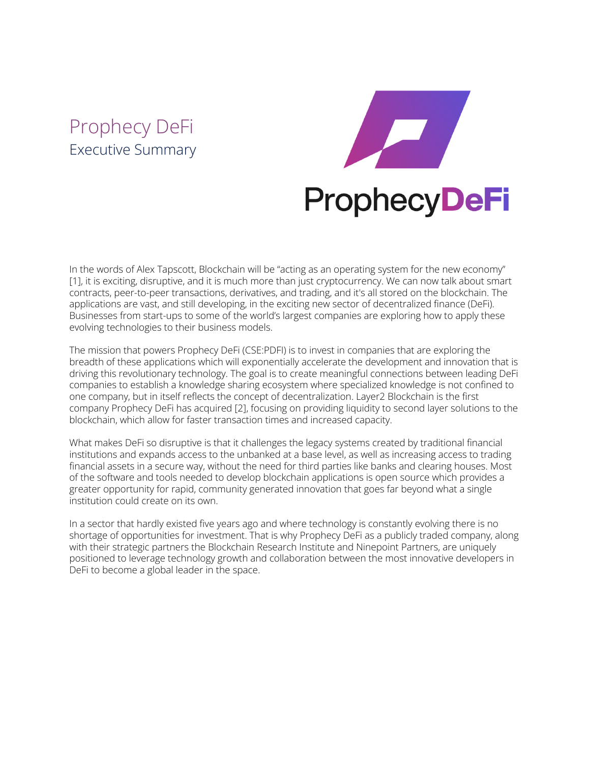# Prophecy DeFi Executive Summary



In the words of Alex Tapscott, Blockchain will be "acting as an operating system for the new economy" [1], it is exciting, disruptive, and it is much more than just cryptocurrency. We can now talk about smart contracts, peer-to-peer transactions, derivatives, and trading, and it's all stored on the blockchain. The applications are vast, and still developing, in the exciting new sector of decentralized finance (DeFi). Businesses from start-ups to some of the world's largest companies are exploring how to apply these evolving technologies to their business models.

The mission that powers Prophecy DeFi [\(CSE:PDFI](https://thecse.com/en/listings/diversified-industries/prophecy-defi-inc)) is to invest in companies that are exploring the breadth of these applications which will exponentially accelerate the development and innovation that is driving this revolutionary technology. The goal is to create meaningful connections between leading DeFi companies to establish a knowledge sharing ecosystem where specialized knowledge is not confined to one company, but in itself reflects the concept of decentralization. Layer2 Blockchain is the first company Prophecy DeFi has acquired [2], focusing on providing liquidity to second layer solutions to the blockchain, which allow for faster transaction times and increased capacity.

What makes DeFi so disruptive is that it challenges the legacy systems created by traditional financial institutions and expands access to the unbanked at a base level, as well as increasing access to trading financial assets in a secure way, without the need for third parties like banks and clearing houses. Most of the software and tools needed to develop blockchain applications is open source which provides a greater opportunity for rapid, community generated innovation that goes far beyond what a single institution could create on its own.

In a sector that hardly existed five years ago and where technology is constantly evolving there is no shortage of opportunities for investment. That is why Prophecy DeFi as a publicly traded company, along with their strategic partners the Blockchain Research Institute and Ninepoint Partners, are uniquely positioned to leverage technology growth and collaboration between the most innovative developers in DeFi to become a global leader in the space.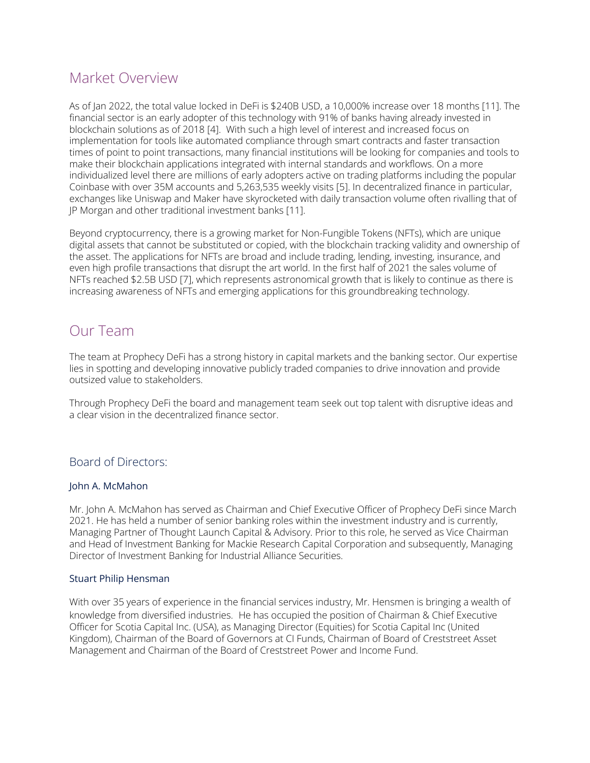# Market Overview

As of Jan 2022, the total value locked in DeFi is \$240B USD, a 10,000% increase over 18 months [11]. The financial sector is an early adopter of this technology with 91% of banks having already invested in blockchain solutions as of 2018 [4]. With such a high level of interest and increased focus on implementation for tools like automated compliance through smart contracts and faster transaction times of point to point transactions, many financial institutions will be looking for companies and tools to make their blockchain applications integrated with internal standards and workflows. On a more individualized level there are millions of early adopters active on trading platforms including the popular Coinbase with over 35M accounts and 5,263,535 weekly visits [5]. In decentralized finance in particular, exchanges like Uniswap and Maker have skyrocketed with daily transaction volume often rivalling that of JP Morgan and other traditional investment banks [11].

Beyond cryptocurrency, there is a growing market for Non-Fungible Tokens (NFTs), which are unique digital assets that cannot be substituted or copied, with the blockchain tracking validity and ownership of the asset. The applications for NFTs are broad and include trading, lending, investing, insurance, and even high profile transactions that disrupt the art world. In the first half of 2021 the sales volume of NFTs reached \$2.5B USD [7], which represents astronomical growth that is likely to continue as there is increasing awareness of NFTs and emerging applications for this groundbreaking technology.

# Our Team

The team at Prophecy DeFi has a strong history in capital markets and the banking sector. Our expertise lies in spotting and developing innovative publicly traded companies to drive innovation and provide outsized value to stakeholders.

Through Prophecy DeFi the board and management team seek out top talent with disruptive ideas and a clear vision in the decentralized finance sector.

# Board of Directors:

### John A. McMahon

Mr. John A. McMahon has served as Chairman and Chief Executive Officer of Prophecy DeFi since March 2021. He has held a number of senior banking roles within the investment industry and is currently, Managing Partner of Thought Launch Capital & Advisory. Prior to this role, he served as Vice Chairman and Head of Investment Banking for Mackie Research Capital Corporation and subsequently, Managing Director of Investment Banking for Industrial Alliance Securities.

### Stuart Philip Hensman

With over 35 years of experience in the financial services industry, Mr. Hensmen is bringing a wealth of knowledge from diversified industries. He has occupied the position of Chairman & Chief Executive Officer for Scotia Capital Inc. (USA), as Managing Director (Equities) for Scotia Capital Inc (United Kingdom), Chairman of the Board of Governors at CI Funds, Chairman of Board of Creststreet Asset Management and Chairman of the Board of Creststreet Power and Income Fund.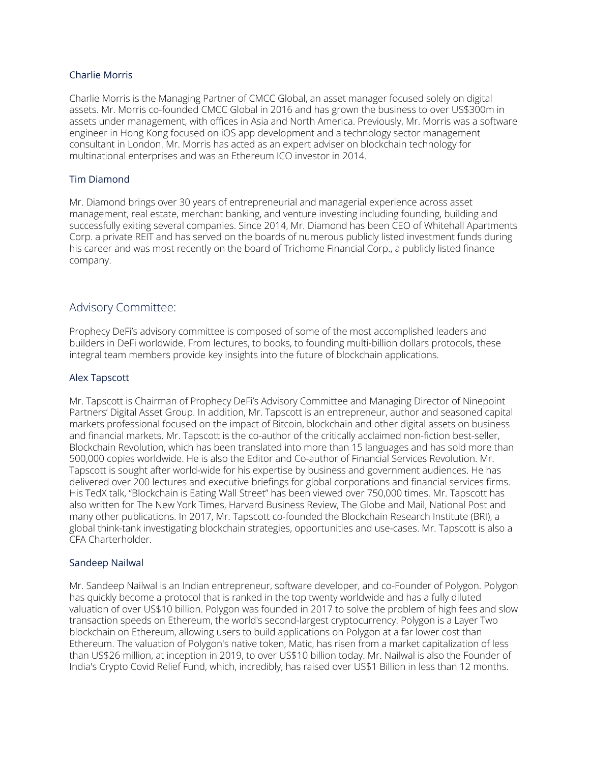#### Charlie Morris

Charlie Morris is the Managing Partner of CMCC Global, an asset manager focused solely on digital assets. Mr. Morris co-founded CMCC Global in 2016 and has grown the business to over US\$300m in assets under management, with offices in Asia and North America. Previously, Mr. Morris was a software engineer in Hong Kong focused on iOS app development and a technology sector management consultant in London. Mr. Morris has acted as an expert adviser on blockchain technology for multinational enterprises and was an Ethereum ICO investor in 2014.

#### Tim Diamond

Mr. Diamond brings over 30 years of entrepreneurial and managerial experience across asset management, real estate, merchant banking, and venture investing including founding, building and successfully exiting several companies. Since 2014, Mr. Diamond has been CEO of Whitehall Apartments Corp. a private REIT and has served on the boards of numerous publicly listed investment funds during his career and was most recently on the board of Trichome Financial Corp., a publicly listed finance company.

### Advisory Committee:

Prophecy DeFi's advisory committee is composed of some of the most accomplished leaders and builders in DeFi worldwide. From lectures, to books, to founding multi-billion dollars protocols, these integral team members provide key insights into the future of blockchain applications.

#### Alex Tapscott

Mr. Tapscott is Chairman of Prophecy DeFi's Advisory Committee and Managing Director of Ninepoint Partners' Digital Asset Group. In addition, Mr. Tapscott is an entrepreneur, author and seasoned capital markets professional focused on the impact of Bitcoin, blockchain and other digital assets on business and financial markets. Mr. Tapscott is the co-author of the critically acclaimed non-fiction best-seller, Blockchain Revolution, which has been translated into more than 15 languages and has sold more than 500,000 copies worldwide. He is also the Editor and Co-author of Financial Services Revolution. Mr. Tapscott is sought after world-wide for his expertise by business and government audiences. He has delivered over 200 lectures and executive briefings for global corporations and financial services firms. His TedX talk, "Blockchain is Eating Wall Street" has been viewed over 750,000 times. Mr. Tapscott has also written for The New York Times, Harvard Business Review, The Globe and Mail, National Post and many other publications. In 2017, Mr. Tapscott co-founded the Blockchain Research Institute (BRI), a global think-tank investigating blockchain strategies, opportunities and use-cases. Mr. Tapscott is also a CFA Charterholder.

#### Sandeep Nailwal

Mr. Sandeep Nailwal is an Indian entrepreneur, software developer, and co-Founder of Polygon. Polygon has quickly become a protocol that is ranked in the top twenty worldwide and has a fully diluted valuation of over US\$10 billion. Polygon was founded in 2017 to solve the problem of high fees and slow transaction speeds on Ethereum, the world's second-largest cryptocurrency. Polygon is a Layer Two blockchain on Ethereum, allowing users to build applications on Polygon at a far lower cost than Ethereum. The valuation of Polygon's native token, Matic, has risen from a market capitalization of less than US\$26 million, at inception in 2019, to over US\$10 billion today. Mr. Nailwal is also the Founder of India's Crypto Covid Relief Fund, which, incredibly, has raised over US\$1 Billion in less than 12 months.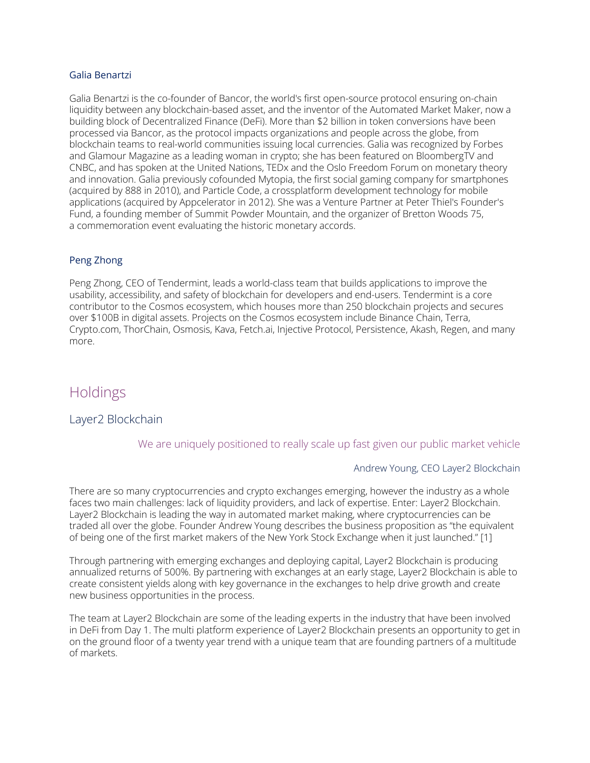#### Galia Benartzi

Galia Benartzi is the co-founder of Bancor, the world's first open-source protocol ensuring on-chain liquidity between any blockchain-based asset, and the inventor of the Automated Market Maker, now a building block of Decentralized Finance (DeFi). More than \$2 billion in token conversions have been processed via Bancor, as the protocol impacts organizations and people across the globe, from blockchain teams to real-world communities issuing local currencies. Galia was recognized by Forbes and Glamour Magazine as a leading woman in crypto; she has been featured on BloombergTV and CNBC, and has spoken at the United Nations, TEDx and the Oslo Freedom Forum on monetary theory and innovation. Galia previously cofounded Mytopia, the first social gaming company for smartphones (acquired by 888 in 2010), and Particle Code, a crossplatform development technology for mobile applications (acquired by Appcelerator in 2012). She was a Venture Partner at Peter Thiel's Founder's Fund, a founding member of Summit Powder Mountain, and the organizer of Bretton Woods 75, a commemoration event evaluating the historic monetary accords.

### Peng Zhong

Peng Zhong, CEO of Tendermint, leads a world-class team that builds applications to improve the usability, accessibility, and safety of blockchain for developers and end-users. Tendermint is a core contributor to the Cosmos ecosystem, which houses more than 250 blockchain projects and secures over \$100B in digital assets. Projects on the Cosmos ecosystem include Binance Chain, Terra, Crypto.com, ThorChain, Osmosis, Kava, Fetch.ai, Injective Protocol, Persistence, Akash, Regen, and many more.

# Holdings

### Layer2 Blockchain

We are uniquely positioned to really scale up fast given our public market vehicle

### Andrew Young, CEO Layer2 Blockchain

There are so many cryptocurrencies and crypto exchanges emerging, however the industry as a whole faces two main challenges: lack of liquidity providers, and lack of expertise. Enter: Layer2 [Blockchain](https://www.layer2defi.com/). Layer2 Blockchain is leading the way in automated market making, where cryptocurrencies can be traded all over the globe. Founder Andrew Young describes the business proposition as "the equivalent of being one of the first market makers of the New York Stock Exchange when it just launched." [1]

Through partnering with emerging exchanges and deploying capital, Layer2 Blockchain is producing annualized returns of 500%. By partnering with exchanges at an early stage, Layer2 Blockchain is able to create consistent yields along with key governance in the exchanges to help drive growth and create new business opportunities in the process.

The team at Layer2 Blockchain are some of the leading experts in the industry that have been involved in DeFi from Day 1. The multi platform experience of Layer2 Blockchain presents an opportunity to get in on the ground floor of a twenty year trend with a unique team that are founding partners of a multitude of markets.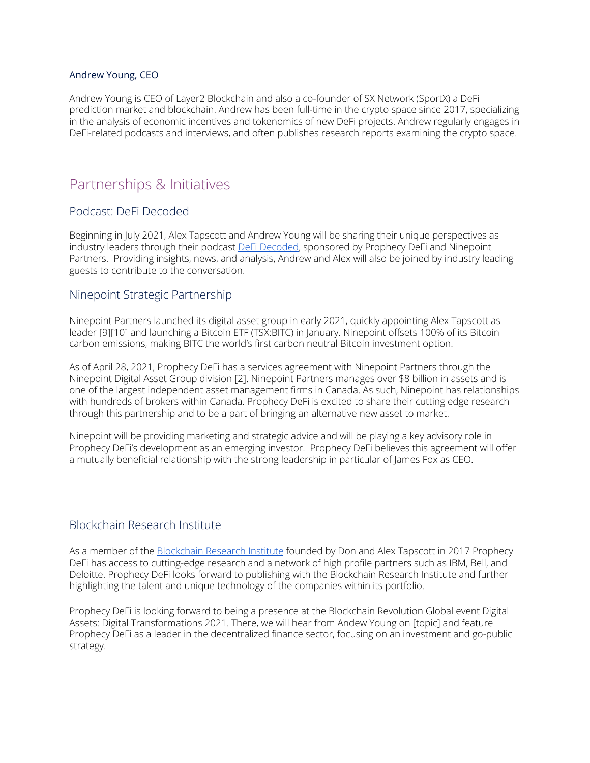#### Andrew Young, CEO

Andrew Young is CEO of Layer2 Blockchain and also a co-founder of SX Network (SportX) a DeFi prediction market and blockchain. Andrew has been full-time in the crypto space since 2017, specializing in the analysis of economic incentives and tokenomics of new DeFi projects. Andrew regularly engages in DeFi-related podcasts and interviews, and often publishes research reports examining the crypto space.

# Partnerships & Initiatives

# Podcast: DeFi Decoded

Beginning in July 2021, Alex Tapscott and Andrew Young will be sharing their unique perspectives as industry leaders through their podcast **DeFi [Decoded](https://www.youtube.com/watch?v=OXNQ3L-DLxU&list=PLdbaU5md-aLVEkJxTBWlk_z3-6mpvO7A_)**, sponsored by Prophecy DeFi and Ninepoint Partners. Providing insights, news, and analysis, Andrew and Alex will also be joined by industry leading guests to contribute to the conversation.

### Ninepoint Strategic Partnership

Ninepoint Partners launched its [digital](https://digital.ninepoint.com/about-us) asset group in early 2021, quickly appointing Alex Tapscott as leader [9][10] and launching a Bitcoin ETF (TSX:BITC) in January. Ninepoint offsets 100% of its Bitcoin carbon emissions, making BITC the world's first carbon neutral Bitcoin investment option.

As of April 28, 2021, Prophecy DeFi has a services agreement with Ninepoint Partners through the Ninepoint Digital Asset Group division [2]. Ninepoint Partners manages over \$8 billion in assets and is one of the largest independent asset management firms in Canada. As such, Ninepoint has relationships with hundreds of brokers within Canada. Prophecy DeFi is excited to share their cutting edge research through this partnership and to be a part of bringing an alternative new asset to market.

Ninepoint will be providing marketing and strategic advice and will be playing a key advisory role in Prophecy DeFi's development as an emerging investor. Prophecy DeFi believes this agreement will offer a mutually beneficial relationship with the strong leadership in particular of James Fox as CEO.

# Blockchain Research Institute

As a member of the [Blockchain](https://www.blockchainresearchinstitute.org/) Research Institute founded by Don and Alex Tapscott in 2017 Prophecy DeFi has access to cutting-edge research and a network of high profile partners such as IBM, Bell, and Deloitte. Prophecy DeFi looks forward to publishing with the Blockchain Research Institute and further highlighting the talent and unique technology of the companies within its portfolio.

Prophecy DeFi is looking forward to being a presence at the Blockchain Revolution Global event Digital Assets: Digital Transformations 2021. There, we will hear from Andew Young on [topic] and feature Prophecy DeFi as a leader in the decentralized finance sector, focusing on an investment and go-public strategy.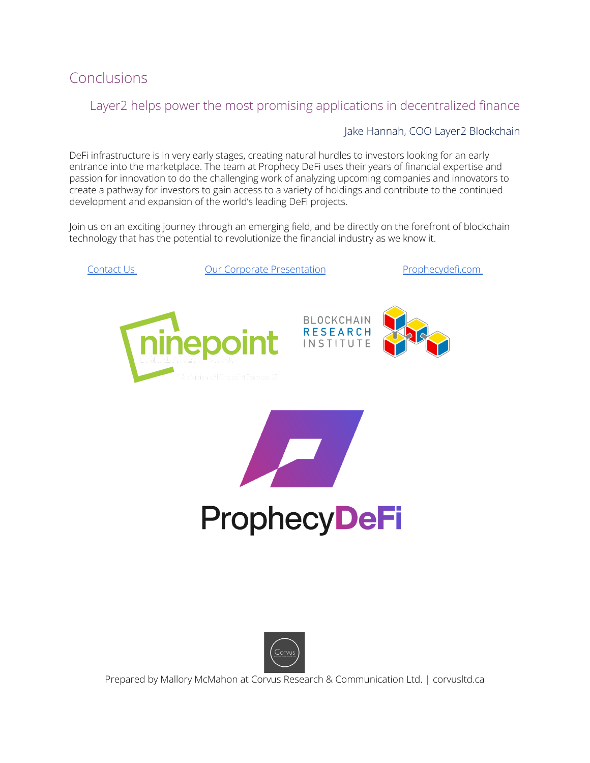

# Layer2 helps power the most promising applications in decentralized finance

# Jake Hannah, COO Layer2 Blockchain

DeFi infrastructure is in very early stages, creating natural hurdles to investors looking for an early entrance into the marketplace. The team at Prophecy DeFi uses their years of financial expertise and passion for innovation to do the challenging work of analyzing upcoming companies and innovators to create a pathway for investors to gain access to a variety of holdings and contribute to the continued development and expansion of the world's leading DeFi projects.

Join us on an exciting journey through an emerging field, and be directly on the forefront of blockchain technology that has the potential to revolutionize the financial industry as we know it.





Prepared by Mallory McMahon at Corvus Research & Communication Ltd. | corvusltd.ca